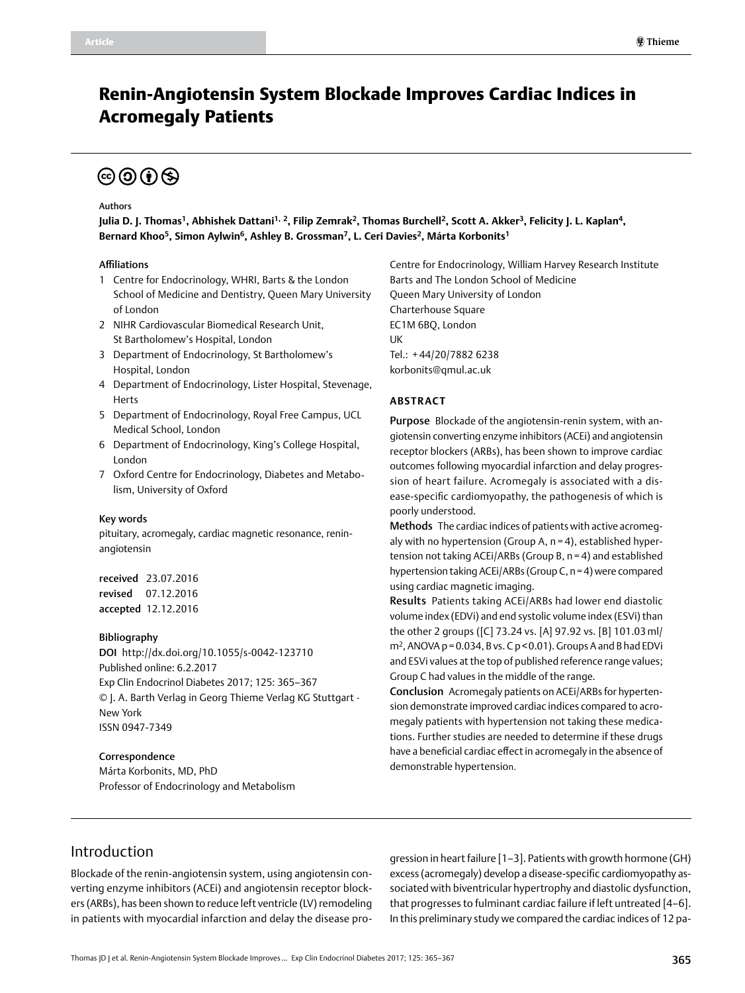# Renin-Angiotensin System Blockade Improves Cardiac Indices in Acromegaly Patients

# $\textcircled{\scriptsize{6}}$   $\textcircled{\scriptsize{1}}$   $\textcircled{\scriptsize{5}}$

#### Authors

**Julia D. J. Thomas1, Abhishek Dattani1, 2, Filip Zemrak2, Thomas Burchell2, Scott A. Akker3, Felicity J. L. Kaplan4,**  Bernard Khoo<sup>5</sup>, Simon Aylwin<sup>6</sup>, Ashley B. Grossman<sup>7</sup>, L. Ceri Davies<sup>2</sup>, Márta Korbonits<sup>1</sup>

#### Affiliations

- 1 Centre for Endocrinology, WHRI, Barts & the London School of Medicine and Dentistry, Queen Mary University of London
- 2 NIHR Cardiovascular Biomedical Research Unit, St Bartholomew's Hospital, London
- 3 Department of Endocrinology, St Bartholomew's Hospital, London
- 4 Department of Endocrinology, Lister Hospital, Stevenage, Herts
- 5 Department of Endocrinology, Royal Free Campus, UCL Medical School, London
- 6 Department of Endocrinology, King's College Hospital, London
- 7 Oxford Centre for Endocrinology, Diabetes and Metabolism, University of Oxford

#### Key words

pituitary, acromegaly, cardiac magnetic resonance, reninangiotensin

received 23.07.2016 revised 07.12.2016 accepted 12.12.2016

#### Bibliography

DOI http://dx.doi.org/10.1055/s-0042-123710 Published online: 6.2.2017 Exp Clin Endocrinol Diabetes 2017; 125: 365–367 © J. A. Barth Verlag in Georg Thieme Verlag KG Stuttgart · New York ISSN 0947-7349

#### Correspondence

Márta Korbonits, MD, PhD Professor of Endocrinology and Metabolism Centre for Endocrinology, William Harvey Research Institute Barts and The London School of Medicine Queen Mary University of London Charterhouse Square EC1M 6BQ, London UK Tel.: + 44/20/7882 6238 [korbonits@qmul.ac.uk](mailto:m.korbonits@qmul.ac.uk)

### **Abstract**

Purpose Blockade of the angiotensin-renin system, with angiotensin converting enzyme inhibitors (ACEi) and angiotensin receptor blockers (ARBs), has been shown to improve cardiac outcomes following myocardial infarction and delay progression of heart failure. Acromegaly is associated with a disease-specific cardiomyopathy, the pathogenesis of which is poorly understood.

Methods The cardiac indices of patients with active acromegaly with no hypertension (Group A, n = 4), established hypertension not taking ACEi/ARBs (Group B, n = 4) and established hypertension taking ACEi/ARBs (Group C, n=4) were compared using cardiac magnetic imaging.

Results Patients taking ACEi/ARBs had lower end diastolic volume index (EDVi) and end systolic volume index (ESVi) than the other 2 groups ([C] 73.24 vs. [A] 97.92 vs. [B] 101.03 ml/  $m<sup>2</sup>$ , ANOVA p = 0.034, B vs. C p < 0.01). Groups A and B had EDVi and ESVi values at the top of published reference range values; Group C had values in the middle of the range.

Conclusion Acromegaly patients on ACEi/ARBs for hypertension demonstrate improved cardiac indices compared to acromegaly patients with hypertension not taking these medications. Further studies are needed to determine if these drugs have a beneficial cardiac effect in acromegaly in the absence of demonstrable hypertension.

## Introduction

Blockade of the renin-angiotensin system, using angiotensin converting enzyme inhibitors (ACEi) and angiotensin receptor blockers (ARBs), has been shown to reduce left ventricle (LV) remodeling in patients with myocardial infarction and delay the disease progression in heart failure [1–3]. Patients with growth hormone (GH) excess (acromegaly) develop a disease-specific cardiomyopathy associated with biventricular hypertrophy and diastolic dysfunction, that progresses to fulminant cardiac failure if left untreated [4–6]. In this preliminary study we compared the cardiac indices of 12 pa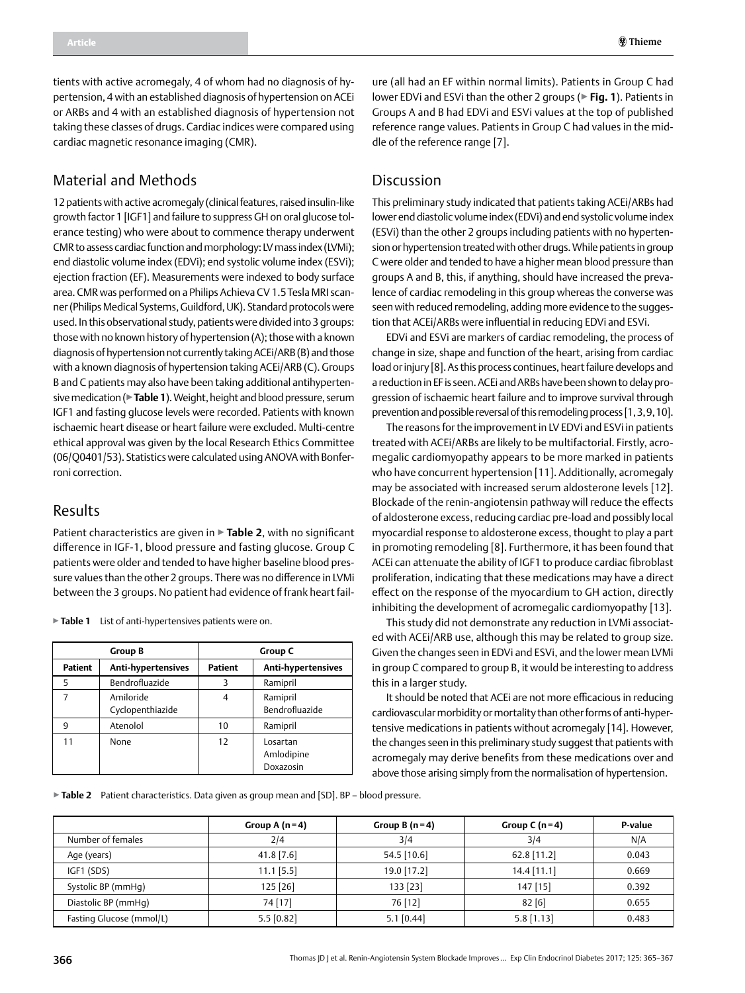tients with active acromegaly, 4 of whom had no diagnosis of hypertension, 4 with an established diagnosis of hypertension on ACEi or ARBs and 4 with an established diagnosis of hypertension not taking these classes of drugs. Cardiac indices were compared using cardiac magnetic resonance imaging (CMR).

# Material and Methods

12 patients with active acromegaly (clinical features, raised insulin-like growth factor 1 [IGF1] and failure to suppress GH on oral glucose tolerance testing) who were about to commence therapy underwent CMR to assess cardiac function and morphology: LV mass index (LVMi); end diastolic volume index (EDVi); end systolic volume index (ESVi); ejection fraction (EF). Measurements were indexed to body surface area. CMR was performed on a Philips Achieva CV 1.5Tesla MRI scanner (Philips Medical Systems, Guildford, UK). Standard protocols were used. In this observational study, patients were divided into 3 groups: those with no known history of hypertension (A); those with a known diagnosis of hypertension not currently taking ACEi/ARB (B) and those with a known diagnosis of hypertension taking ACEi/ARB (C). Groups B and C patients may also have been taking additional antihypertensive medication (▶**Table 1**). Weight, height and blood pressure, serum IGF1 and fasting glucose levels were recorded. Patients with known ischaemic heart disease or heart failure were excluded. Multi-centre ethical approval was given by the local Research Ethics Committee (06/Q0401/53). Statistics were calculated using ANOVA with Bonferroni correction.

### Results

Patient characteristics are given in ▶**Table 2**, with no significant difference in IGF-1, blood pressure and fasting glucose. Group C patients were older and tended to have higher baseline blood pressure values than the other 2 groups. There was no difference in LVMi between the 3 groups. No patient had evidence of frank heart fail-

▶**Table 1** List of anti-hypertensives patients were on.

| <b>Group B</b> |                               | Group C        |                                     |  |
|----------------|-------------------------------|----------------|-------------------------------------|--|
| Patient        | <b>Anti-hypertensives</b>     | <b>Patient</b> | Anti-hypertensives                  |  |
| 5              | Bendrofluazide                |                | Ramipril                            |  |
|                | Amiloride<br>Cyclopenthiazide | 4              | Ramipril<br>Bendrofluazide          |  |
| ٩              | Atenolol                      | 10             | Ramipril                            |  |
| 11             | None                          | 12             | Losartan<br>Amlodipine<br>Doxazosin |  |

ure (all had an EF within normal limits). Patients in Group C had lower EDVi and ESVi than the other 2 groups (▶**Fig. 1**). Patients in Groups A and B had EDVi and ESVi values at the top of published reference range values. Patients in Group C had values in the middle of the reference range [7].

### Discussion

This preliminary study indicated that patients taking ACEi/ARBs had lower end diastolic volume index (EDVi) and end systolic volume index (ESVi) than the other 2 groups including patients with no hypertension or hypertension treated with other drugs. While patients in group C were older and tended to have a higher mean blood pressure than groups A and B, this, if anything, should have increased the prevalence of cardiac remodeling in this group whereas the converse was seen with reduced remodeling, adding more evidence to the suggestion that ACEi/ARBs were influential in reducing EDVi and ESVi.

EDVi and ESVi are markers of cardiac remodeling, the process of change in size, shape and function of the heart, arising from cardiac load or injury [8]. As this process continues, heart failure develops and a reduction in EF is seen. ACEi and ARBs have been shown to delay progression of ischaemic heart failure and to improve survival through prevention and possible reversal of this remodeling process [1,3,9,10].

The reasons for the improvement in LV EDVi and ESVi in patients treated with ACEi/ARBs are likely to be multifactorial. Firstly, acromegalic cardiomyopathy appears to be more marked in patients who have concurrent hypertension [11]. Additionally, acromegaly may be associated with increased serum aldosterone levels [12]. Blockade of the renin-angiotensin pathway will reduce the effects of aldosterone excess, reducing cardiac pre-load and possibly local myocardial response to aldosterone excess, thought to play a part in promoting remodeling [8]. Furthermore, it has been found that ACEi can attenuate the ability of IGF1 to produce cardiac fibroblast proliferation, indicating that these medications may have a direct effect on the response of the myocardium to GH action, directly inhibiting the development of acromegalic cardiomyopathy [13].

This study did not demonstrate any reduction in LVMi associated with ACEi/ARB use, although this may be related to group size. Given the changes seen in EDVi and ESVi, and the lower mean LVMi in group C compared to group B, it would be interesting to address this in a larger study.

It should be noted that ACEi are not more efficacious in reducing cardiovascular morbidity or mortality than other forms of anti-hypertensive medications in patients without acromegaly [14]. However, the changes seen in this preliminary study suggest that patients with acromegaly may derive benefits from these medications over and above those arising simply from the normalisation of hypertension.

▶**Table 2** Patient characteristics. Data given as group mean and [SD]. BP – blood pressure.

|                          | Group A $(n=4)$ | Group B $(n=4)$ | Group C $(n=4)$ | <b>P-value</b> |
|--------------------------|-----------------|-----------------|-----------------|----------------|
| Number of females        | 2/4             | 3/4             | 3/4             | N/A            |
| Age (years)              | $41.8$ [7.6]    | $54.5$ [10.6]   | $62.8$ [11.2]   | 0.043          |
| IGF1 (SDS)               | $11.1$ [5.5]    | 19.0 [17.2]     | $14.4$ [11.1]   | 0.669          |
| Systolic BP (mmHq)       | $125$ [26]      | 133 [23]        | 147 [15]        | 0.392          |
| Diastolic BP (mmHq)      | 74 [17]         | 76 [12]         | 82[6]           | 0.655          |
| Fasting Glucose (mmol/L) | $5.5$ [0.82]    | $5.1$ [0.44]    | $5.8$ [1.13]    | 0.483          |